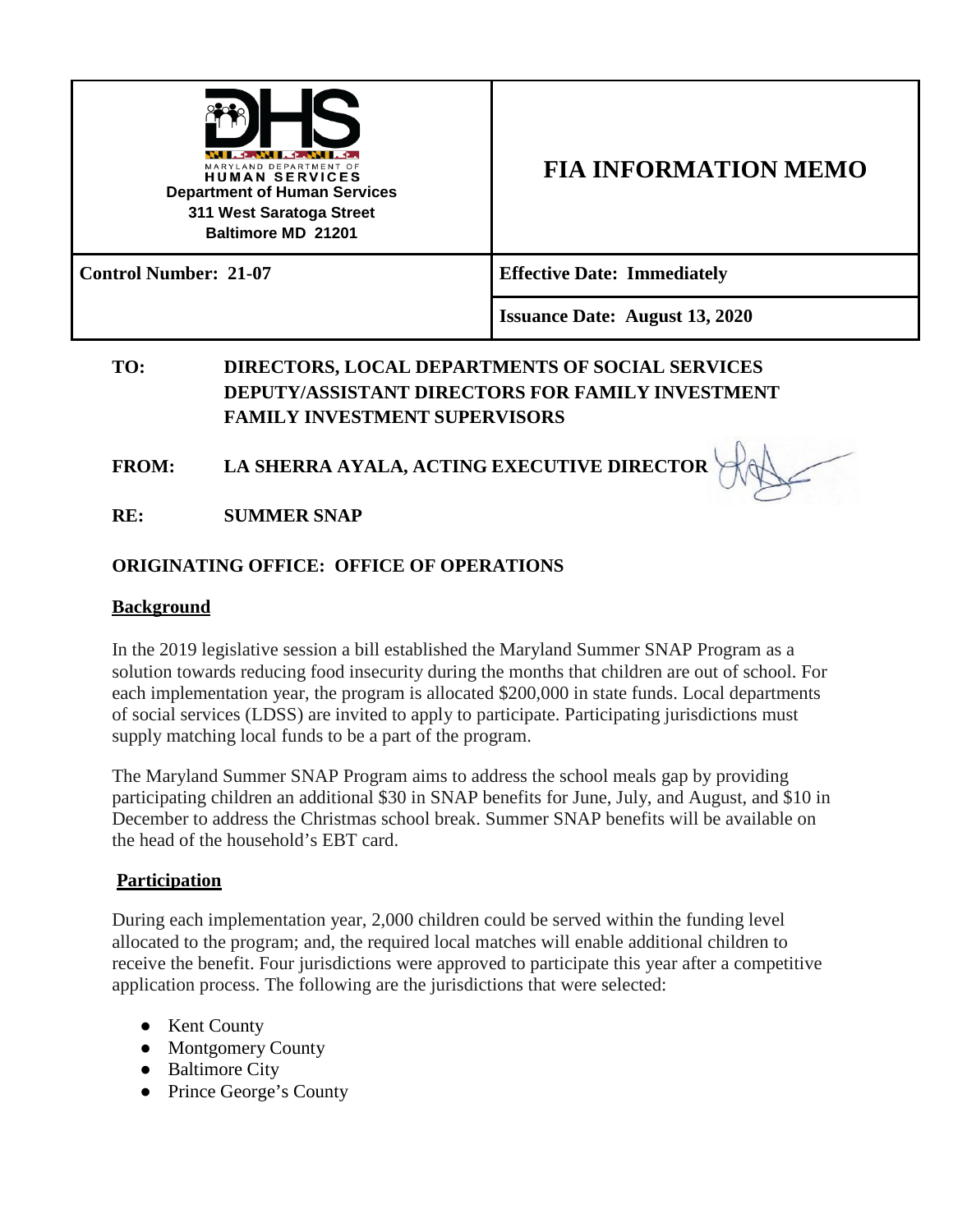

# **FIA INFORMATION MEMO**

**Control Number: 21-07 Effective Date: Immediately**

**Issuance Date: August 13, 2020**

# **TO: DIRECTORS, LOCAL DEPARTMENTS OF SOCIAL SERVICES DEPUTY/ASSISTANT DIRECTORS FOR FAMILY INVESTMENT FAMILY INVESTMENT SUPERVISORS**

# **FROM: LA SHERRA AYALA, ACTING EXECUTIVE DIRECTOR**

**RE: SUMMER SNAP**

## **ORIGINATING OFFICE: OFFICE OF OPERATIONS**

#### **Background**

In the 2019 legislative session a bill established the Maryland Summer SNAP Program as a solution towards reducing food insecurity during the months that children are out of school. For each implementation year, the program is allocated \$200,000 in state funds. Local departments of social services (LDSS) are invited to apply to participate. Participating jurisdictions must supply matching local funds to be a part of the program.

The Maryland Summer SNAP Program aims to address the school meals gap by providing participating children an additional \$30 in SNAP benefits for June, July, and August, and \$10 in December to address the Christmas school break. Summer SNAP benefits will be available on the head of the household's EBT card.

### **Participation**

During each implementation year, 2,000 children could be served within the funding level allocated to the program; and, the required local matches will enable additional children to receive the benefit. Four jurisdictions were approved to participate this year after a competitive application process. The following are the jurisdictions that were selected:

- Kent County
- Montgomery County
- Baltimore City
- Prince George's County